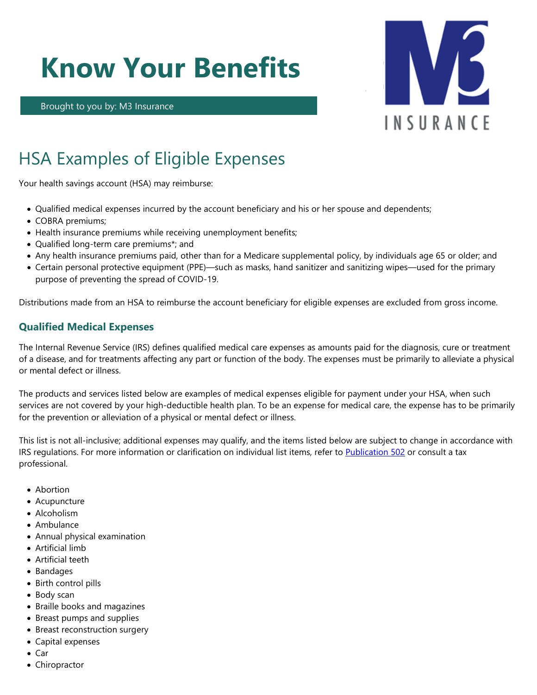# **Know Your Benefits**

Brought to you by: M3 Insurance



# HSA Examples of Eligible Expenses

Your health savings account (HSA) may reimburse:

- Qualified medical expenses incurred by the account beneficiary and his or her spouse and dependents;
- COBRA premiums;
- Health insurance premiums while receiving unemployment benefits;
- Qualified long-term care premiums\*; and
- Any health insurance premiums paid, other than for a Medicare supplemental policy, by individuals age 65 or older; and
- Certain personal protective equipment (PPE)—such as masks, hand sanitizer and sanitizing wipes—used for the primary purpose of preventing the spread of COVID-19.

Distributions made from an HSA to reimburse the account beneficiary for eligible expenses are excluded from gross income.

## **Qualified Medical Expenses**

The Internal Revenue Service (IRS) defines qualified medical care expenses as amounts paid for the diagnosis, cure or treatment of a disease, and for treatments affecting any part or function of the body. The expenses must be primarily to alleviate a physical or mental defect or illness.

The products and services listed below are examples of medical expenses eligible for payment under your HSA, when such services are not covered by your high-deductible health plan. To be an expense for medical care, the expense has to be primarily for the prevention or alleviation of a physical or mental defect or illness.

This list is not all-inclusive; additional expenses may qualify, and the items listed below are subject to change in accordance with IRS regulations. For more information or clarification on individual list items, refer to [Publication 502](https://www.irs.gov/publications/p502/ar02.html) or consult a tax professional.

- Abortion
- Acupuncture
- Alcoholism
- Ambulance
- Annual physical examination
- Artificial limb
- Artificial teeth
- Bandages
- Birth control pills
- Body scan
- Braille books and magazines
- Breast pumps and supplies
- Breast reconstruction surgery
- Capital expenses
- Car
- Chiropractor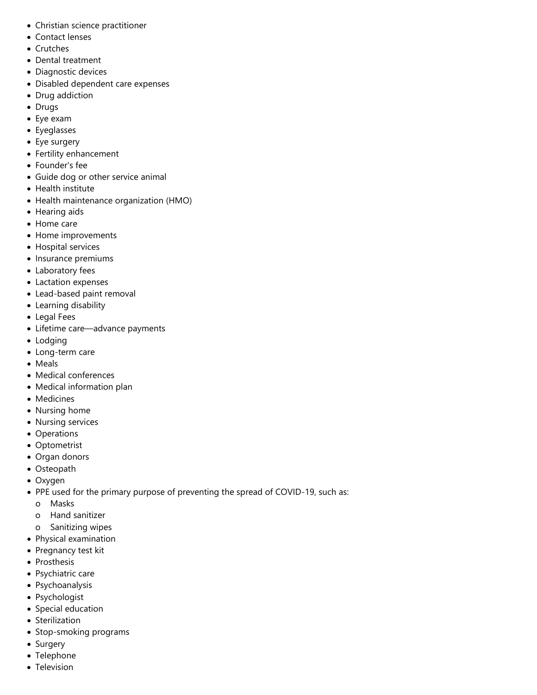- Christian science practitioner
- Contact lenses
- Crutches
- Dental treatment
- Diagnostic devices
- Disabled dependent care expenses
- Drug addiction
- Drugs
- Eye exam
- Eyeglasses
- Eye surgery
- Fertility enhancement
- Founder's fee
- Guide dog or other service animal
- Health institute
- Health maintenance organization (HMO)
- Hearing aids
- Home care
- Home improvements
- Hospital services
- Insurance premiums
- Laboratory fees
- Lactation expenses
- Lead-based paint removal
- Learning disability
- Legal Fees
- Lifetime care—advance payments
- Lodging
- Long-term care
- Meals
- Medical conferences
- Medical information plan
- Medicines
- Nursing home
- Nursing services
- Operations
- Optometrist
- Organ donors
- Osteopath
- Oxygen
- PPE used for the primary purpose of preventing the spread of COVID-19, such as:
	- o Masks
	- o Hand sanitizer
	- o Sanitizing wipes
- Physical examination
- Pregnancy test kit
- Prosthesis
- Psychiatric care
- Psychoanalysis
- Psychologist
- Special education
- Sterilization
- Stop-smoking programs
- Surgery
- Telephone
- Television